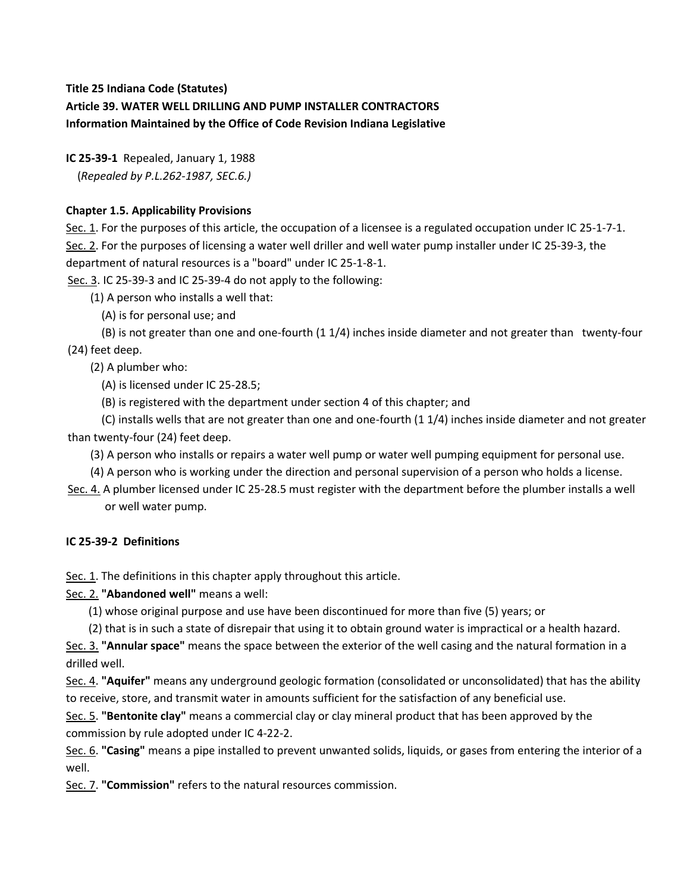# **Title 25 Indiana Code (Statutes) Article 39. WATER WELL DRILLING AND PUMP INSTALLER CONTRACTORS Information Maintained by the Office of Code Revision Indiana Legislative**

**IC 25-39-1** Repealed, January 1, 1988 (*Repealed by P.L.262-1987, SEC.6.)*

# **Chapter 1.5. Applicability Provisions**

Sec. 1. For the purposes of this article, the occupation of a licensee is a regulated occupation under IC 25-1-7-1. Sec. 2. For the purposes of licensing a water well driller and well water pump installer under IC 25-39-3, the department of natural resources is a "board" under IC 25-1-8-1.

Sec. 3. IC 25-39-3 and IC 25-39-4 do not apply to the following:

(1) A person who installs a well that:

(A) is for personal use; and

 (B) is not greater than one and one-fourth (1 1/4) inches inside diameter and not greater than twenty-four (24) feet deep.

(2) A plumber who:

(A) is licensed under IC 25-28.5;

(B) is registered with the department under section 4 of this chapter; and

 (C) installs wells that are not greater than one and one-fourth (1 1/4) inches inside diameter and not greater than twenty-four (24) feet deep.

(3) A person who installs or repairs a water well pump or water well pumping equipment for personal use.

(4) A person who is working under the direction and personal supervision of a person who holds a license.

Sec. 4. A plumber licensed under IC 25-28.5 must register with the department before the plumber installs a well or well water pump.

# **IC 25-39-2 Definitions**

Sec. 1. The definitions in this chapter apply throughout this article.

Sec. 2. **"Abandoned well"** means a well:

(1) whose original purpose and use have been discontinued for more than five (5) years; or

(2) that is in such a state of disrepair that using it to obtain ground water is impractical or a health hazard.

Sec. 3. **"Annular space"** means the space between the exterior of the well casing and the natural formation in a drilled well.

Sec. 4. **"Aquifer"** means any underground geologic formation (consolidated or unconsolidated) that has the ability to receive, store, and transmit water in amounts sufficient for the satisfaction of any beneficial use.

Sec. 5. **"Bentonite clay"** means a commercial clay or clay mineral product that has been approved by the commission by rule adopted under IC 4-22-2.

Sec. 6. **"Casing"** means a pipe installed to prevent unwanted solids, liquids, or gases from entering the interior of a well.

Sec. 7. **"Commission"** refers to the natural resources commission.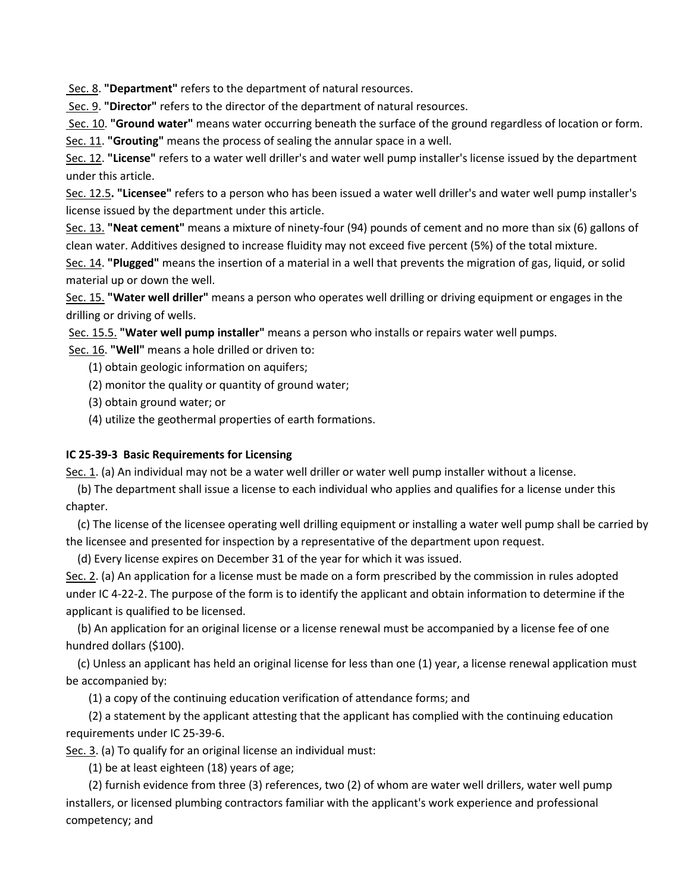Sec. 8. **"Department"** refers to the department of natural resources.

Sec. 9. **"Director"** refers to the director of the department of natural resources.

Sec. 10. **"Ground water"** means water occurring beneath the surface of the ground regardless of location or form. Sec. 11. **"Grouting"** means the process of sealing the annular space in a well.

Sec. 12. **"License"** refers to a water well driller's and water well pump installer's license issued by the department under this article.

Sec. 12.5**. "Licensee"** refers to a person who has been issued a water well driller's and water well pump installer's license issued by the department under this article.

Sec. 13. **"Neat cement"** means a mixture of ninety-four (94) pounds of cement and no more than six (6) gallons of clean water. Additives designed to increase fluidity may not exceed five percent (5%) of the total mixture.

Sec. 14. **"Plugged"** means the insertion of a material in a well that prevents the migration of gas, liquid, or solid material up or down the well.

Sec. 15. **"Water well driller"** means a person who operates well drilling or driving equipment or engages in the drilling or driving of wells.

Sec. 15.5. **"Water well pump installer"** means a person who installs or repairs water well pumps.

Sec. 16. **"Well"** means a hole drilled or driven to:

- (1) obtain geologic information on aquifers;
- (2) monitor the quality or quantity of ground water;
- (3) obtain ground water; or
- (4) utilize the geothermal properties of earth formations.

# **IC 25-39-3 Basic Requirements for Licensing**

Sec. 1. (a) An individual may not be a water well driller or water well pump installer without a license.

 (b) The department shall issue a license to each individual who applies and qualifies for a license under this chapter.

 (c) The license of the licensee operating well drilling equipment or installing a water well pump shall be carried by the licensee and presented for inspection by a representative of the department upon request.

(d) Every license expires on December 31 of the year for which it was issued.

Sec. 2. (a) An application for a license must be made on a form prescribed by the commission in rules adopted under IC 4-22-2. The purpose of the form is to identify the applicant and obtain information to determine if the applicant is qualified to be licensed.

 (b) An application for an original license or a license renewal must be accompanied by a license fee of one hundred dollars (\$100).

 (c) Unless an applicant has held an original license for less than one (1) year, a license renewal application must be accompanied by:

(1) a copy of the continuing education verification of attendance forms; and

 (2) a statement by the applicant attesting that the applicant has complied with the continuing education requirements under IC 25-39-6.

Sec. 3. (a) To qualify for an original license an individual must:

(1) be at least eighteen (18) years of age;

 (2) furnish evidence from three (3) references, two (2) of whom are water well drillers, water well pump installers, or licensed plumbing contractors familiar with the applicant's work experience and professional competency; and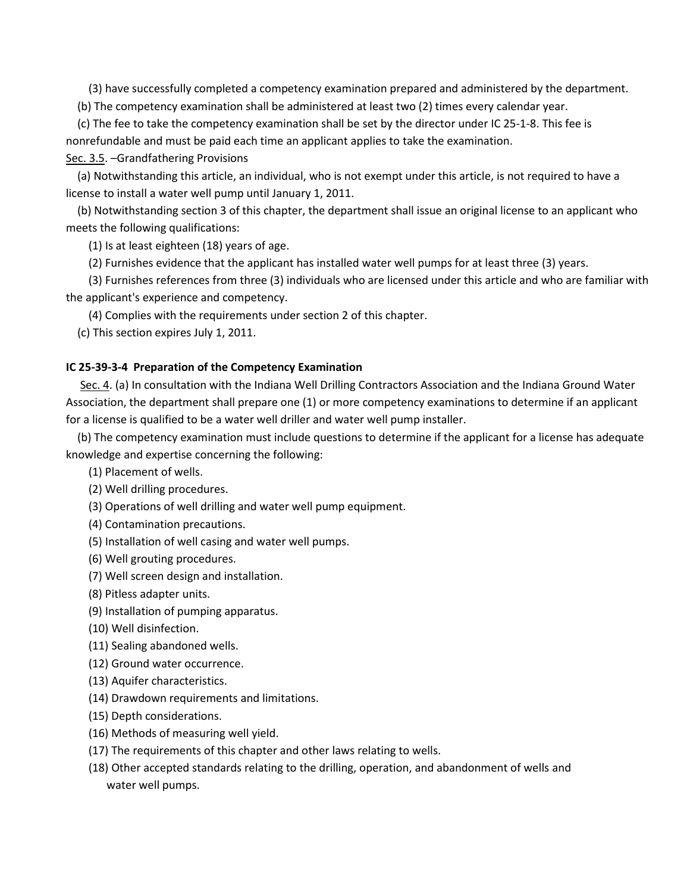(3) have successfully completed a competency examination prepared and administered by the department.

(b) The competency examination shall be administered at least two (2) times every calendar year.

 (c) The fee to take the competency examination shall be set by the director under IC 25-1-8. This fee is nonrefundable and must be paid each time an applicant applies to take the examination.

#### Sec. 3.5. –Grandfathering Provisions

 (a) Notwithstanding this article, an individual, who is not exempt under this article, is not required to have a license to install a water well pump until January 1, 2011.

 (b) Notwithstanding section 3 of this chapter, the department shall issue an original license to an applicant who meets the following qualifications:

(1) Is at least eighteen (18) years of age.

(2) Furnishes evidence that the applicant has installed water well pumps for at least three (3) years.

 (3) Furnishes references from three (3) individuals who are licensed under this article and who are familiar with the applicant's experience and competency.

(4) Complies with the requirements under section 2 of this chapter.

(c) This section expires July 1, 2011.

#### **IC 25-39-3-4 Preparation of the Competency Examination**

Sec. 4. (a) In consultation with the Indiana Well Drilling Contractors Association and the Indiana Ground Water Association, the department shall prepare one (1) or more competency examinations to determine if an applicant for a license is qualified to be a water well driller and water well pump installer.

 (b) The competency examination must include questions to determine if the applicant for a license has adequate knowledge and expertise concerning the following:

(1) Placement of wells.

(2) Well drilling procedures.

(3) Operations of well drilling and water well pump equipment.

(4) Contamination precautions.

- (5) Installation of well casing and water well pumps.
- (6) Well grouting procedures.
- (7) Well screen design and installation.
- (8) Pitless adapter units.
- (9) Installation of pumping apparatus.
- (10) Well disinfection.
- (11) Sealing abandoned wells.
- (12) Ground water occurrence.
- (13) Aquifer characteristics.
- (14) Drawdown requirements and limitations.
- (15) Depth considerations.
- (16) Methods of measuring well yield.
- (17) The requirements of this chapter and other laws relating to wells.
- (18) Other accepted standards relating to the drilling, operation, and abandonment of wells and water well pumps.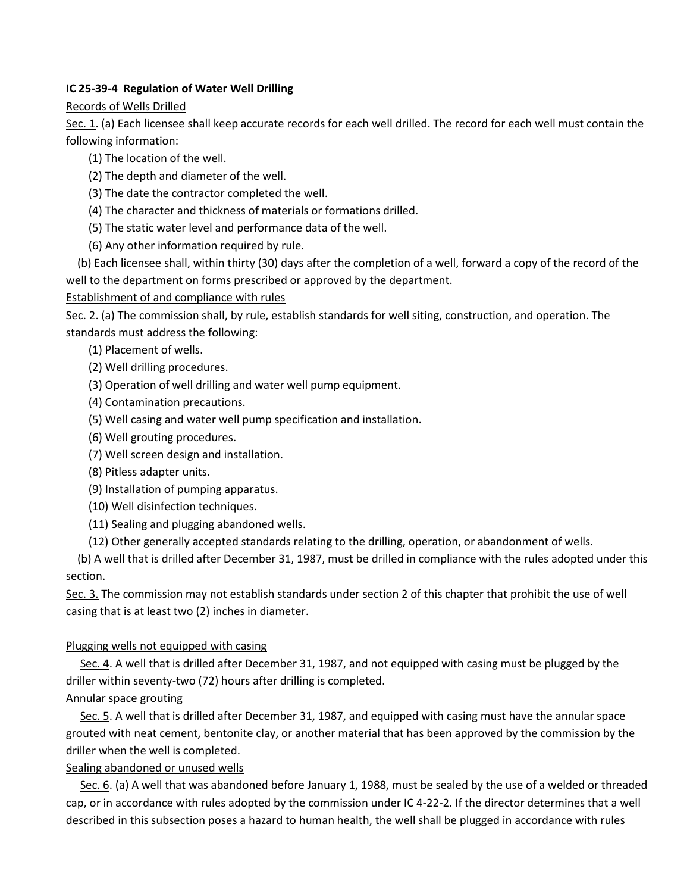### **IC 25-39-4 Regulation of Water Well Drilling**

### Records of Wells Drilled

Sec. 1. (a) Each licensee shall keep accurate records for each well drilled. The record for each well must contain the following information:

- (1) The location of the well.
- (2) The depth and diameter of the well.
- (3) The date the contractor completed the well.
- (4) The character and thickness of materials or formations drilled.
- (5) The static water level and performance data of the well.
- (6) Any other information required by rule.

 (b) Each licensee shall, within thirty (30) days after the completion of a well, forward a copy of the record of the well to the department on forms prescribed or approved by the department.

# Establishment of and compliance with rules

Sec. 2. (a) The commission shall, by rule, establish standards for well siting, construction, and operation. The standards must address the following:

- (1) Placement of wells.
- (2) Well drilling procedures.
- (3) Operation of well drilling and water well pump equipment.
- (4) Contamination precautions.
- (5) Well casing and water well pump specification and installation.
- (6) Well grouting procedures.
- (7) Well screen design and installation.
- (8) Pitless adapter units.
- (9) Installation of pumping apparatus.
- (10) Well disinfection techniques.
- (11) Sealing and plugging abandoned wells.
- (12) Other generally accepted standards relating to the drilling, operation, or abandonment of wells.

 (b) A well that is drilled after December 31, 1987, must be drilled in compliance with the rules adopted under this section.

Sec. 3. The commission may not establish standards under section 2 of this chapter that prohibit the use of well casing that is at least two (2) inches in diameter.

# Plugging wells not equipped with casing

Sec. 4. A well that is drilled after December 31, 1987, and not equipped with casing must be plugged by the driller within seventy-two (72) hours after drilling is completed.

# Annular space grouting

Sec. 5. A well that is drilled after December 31, 1987, and equipped with casing must have the annular space grouted with neat cement, bentonite clay, or another material that has been approved by the commission by the driller when the well is completed.

# Sealing abandoned or unused wells

Sec. 6. (a) A well that was abandoned before January 1, 1988, must be sealed by the use of a welded or threaded cap, or in accordance with rules adopted by the commission under IC 4-22-2. If the director determines that a well described in this subsection poses a hazard to human health, the well shall be plugged in accordance with rules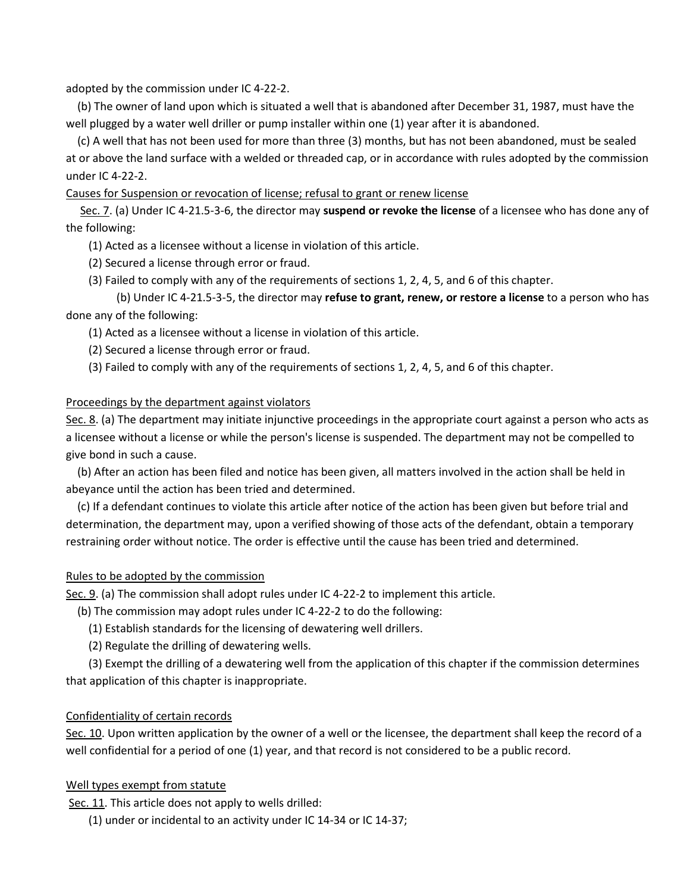adopted by the commission under IC 4-22-2.

 (b) The owner of land upon which is situated a well that is abandoned after December 31, 1987, must have the well plugged by a water well driller or pump installer within one (1) year after it is abandoned.

 (c) A well that has not been used for more than three (3) months, but has not been abandoned, must be sealed at or above the land surface with a welded or threaded cap, or in accordance with rules adopted by the commission under IC 4-22-2.

Causes for Suspension or revocation of license; refusal to grant or renew license

Sec. 7. (a) Under IC 4-21.5-3-6, the director may **suspend or revoke the license** of a licensee who has done any of the following:

(1) Acted as a licensee without a license in violation of this article.

- (2) Secured a license through error or fraud.
- (3) Failed to comply with any of the requirements of sections 1, 2, 4, 5, and 6 of this chapter.

 (b) Under IC 4-21.5-3-5, the director may **refuse to grant, renew, or restore a license** to a person who has done any of the following:

(1) Acted as a licensee without a license in violation of this article.

(2) Secured a license through error or fraud.

(3) Failed to comply with any of the requirements of sections 1, 2, 4, 5, and 6 of this chapter.

#### Proceedings by the department against violators

Sec. 8. (a) The department may initiate injunctive proceedings in the appropriate court against a person who acts as a licensee without a license or while the person's license is suspended. The department may not be compelled to give bond in such a cause.

 (b) After an action has been filed and notice has been given, all matters involved in the action shall be held in abeyance until the action has been tried and determined.

 (c) If a defendant continues to violate this article after notice of the action has been given but before trial and determination, the department may, upon a verified showing of those acts of the defendant, obtain a temporary restraining order without notice. The order is effective until the cause has been tried and determined.

#### Rules to be adopted by the commission

Sec. 9. (a) The commission shall adopt rules under IC 4-22-2 to implement this article.

(b) The commission may adopt rules under IC 4-22-2 to do the following:

(1) Establish standards for the licensing of dewatering well drillers.

(2) Regulate the drilling of dewatering wells.

 (3) Exempt the drilling of a dewatering well from the application of this chapter if the commission determines that application of this chapter is inappropriate.

#### Confidentiality of certain records

Sec. 10. Upon written application by the owner of a well or the licensee, the department shall keep the record of a well confidential for a period of one (1) year, and that record is not considered to be a public record.

#### Well types exempt from statute

Sec. 11. This article does not apply to wells drilled:

(1) under or incidental to an activity under IC 14-34 or IC 14-37;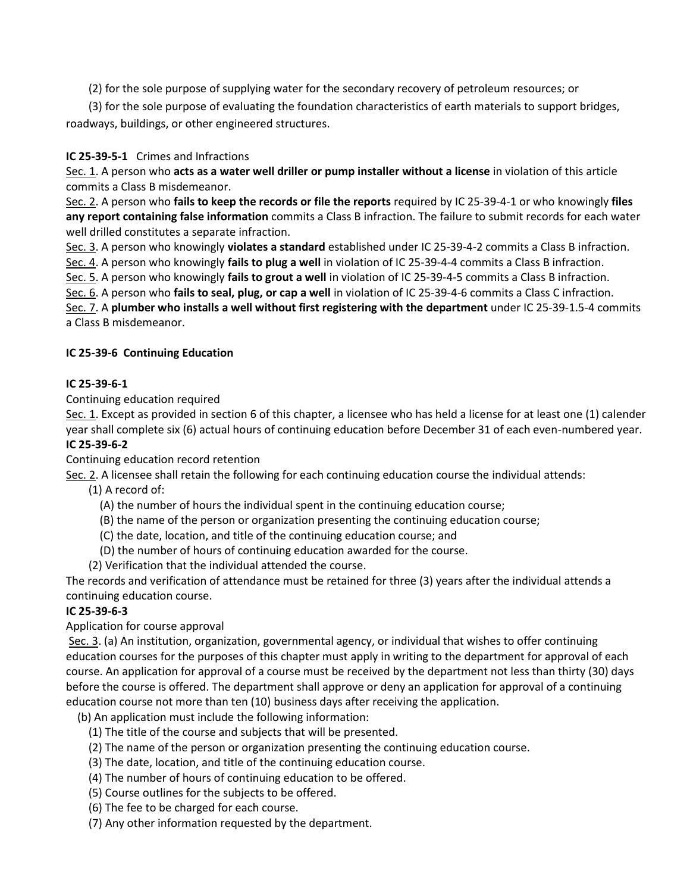(2) for the sole purpose of supplying water for the secondary recovery of petroleum resources; or

 (3) for the sole purpose of evaluating the foundation characteristics of earth materials to support bridges, roadways, buildings, or other engineered structures.

# **IC 25-39-5-1** Crimes and Infractions

Sec. 1. A person who **acts as a water well driller or pump installer without a license** in violation of this article commits a Class B misdemeanor.

Sec. 2. A person who **fails to keep the records or file the reports** required by IC 25-39-4-1 or who knowingly **files any report containing false information** commits a Class B infraction. The failure to submit records for each water well drilled constitutes a separate infraction.

Sec. 3. A person who knowingly **violates a standard** established under IC 25-39-4-2 commits a Class B infraction.

Sec. 4. A person who knowingly **fails to plug a well** in violation of IC 25-39-4-4 commits a Class B infraction.

Sec. 5. A person who knowingly **fails to grout a well** in violation of IC 25-39-4-5 commits a Class B infraction.

Sec. 6. A person who **fails to seal, plug, or cap a well** in violation of IC 25-39-4-6 commits a Class C infraction.

Sec. 7. A **plumber who installs a well without first registering with the department** under IC 25-39-1.5-4 commits a Class B misdemeanor.

# **IC 25-39-6 Continuing Education**

### **IC 25-39-6-1**

Continuing education required

Sec. 1. Except as provided in section 6 of this chapter, a licensee who has held a license for at least one (1) calender year shall complete six (6) actual hours of continuing education before December 31 of each even-numbered year. **IC 25-39-6-2**

Continuing education record retention

Sec. 2. A licensee shall retain the following for each continuing education course the individual attends:

(1) A record of:

- (A) the number of hours the individual spent in the continuing education course;
- (B) the name of the person or organization presenting the continuing education course;
- (C) the date, location, and title of the continuing education course; and
- (D) the number of hours of continuing education awarded for the course.
- (2) Verification that the individual attended the course.

The records and verification of attendance must be retained for three (3) years after the individual attends a continuing education course.

# **IC 25-39-6-3**

Application for course approval

Sec. 3. (a) An institution, organization, governmental agency, or individual that wishes to offer continuing education courses for the purposes of this chapter must apply in writing to the department for approval of each course. An application for approval of a course must be received by the department not less than thirty (30) days before the course is offered. The department shall approve or deny an application for approval of a continuing education course not more than ten (10) business days after receiving the application.

(b) An application must include the following information:

- (1) The title of the course and subjects that will be presented.
- (2) The name of the person or organization presenting the continuing education course.
- (3) The date, location, and title of the continuing education course.
- (4) The number of hours of continuing education to be offered.
- (5) Course outlines for the subjects to be offered.
- (6) The fee to be charged for each course.
- (7) Any other information requested by the department.